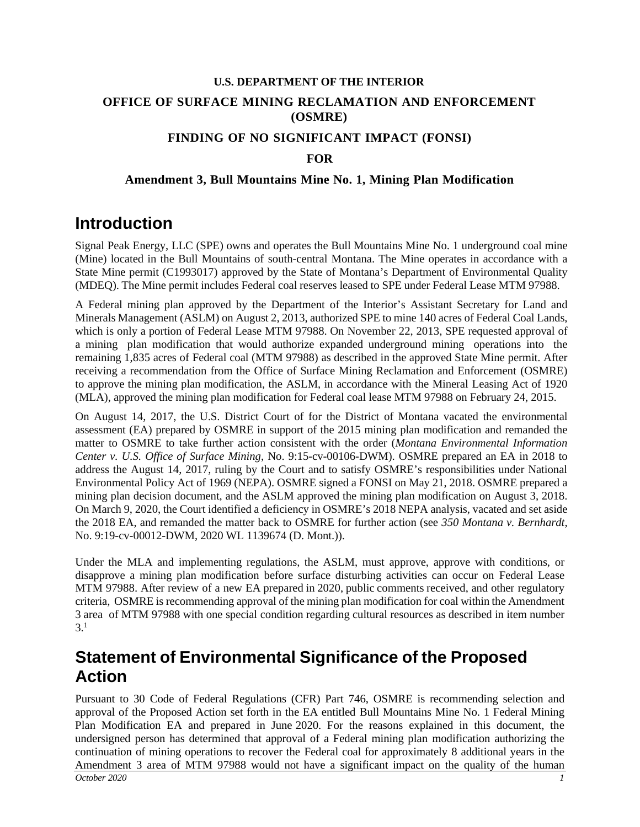# **U.S. DEPARTMENT OF THE INTERIOR OFFICE OF SURFACE MINING RECLAMATION AND ENFORCEMENT (OSMRE)**

### **FINDING OF NO SIGNIFICANT IMPACT (FONSI)**

### **FOR**

#### **Amendment 3, Bull Mountains Mine No. 1, Mining Plan Modification**

## **Introduction**

Signal Peak Energy, LLC (SPE) owns and operates the Bull Mountains Mine No. 1 underground coal mine (Mine) located in the Bull Mountains of south-central Montana. The Mine operates in accordance with a State Mine permit (C1993017) approved by the State of Montana's Department of Environmental Quality (MDEQ). The Mine permit includes Federal coal reserves leased to SPE under Federal Lease MTM 97988.

A Federal mining plan approved by the Department of the Interior's Assistant Secretary for Land and Minerals Management (ASLM) on August 2, 2013, authorized SPE to mine 140 acres of Federal Coal Lands, which is only a portion of Federal Lease MTM 97988. On November 22, 2013, SPE requested approval of a mining plan modification that would authorize expanded underground mining operations into the remaining 1,835 acres of Federal coal (MTM 97988) as described in the approved State Mine permit. After receiving a recommendation from the Office of Surface Mining Reclamation and Enforcement (OSMRE) to approve the mining plan modification, the ASLM, in accordance with the Mineral Leasing Act of 1920 (MLA), approved the mining plan modification for Federal coal lease MTM 97988 on February 24, 2015.

On August 14, 2017, the U.S. District Court of for the District of Montana vacated the environmental assessment (EA) prepared by OSMRE in support of the 2015 mining plan modification and remanded the matter to OSMRE to take further action consistent with the order (*Montana Environmental Information Center v. U.S. Office of Surface Mining*, No. 9:15-cv-00106-DWM). OSMRE prepared an EA in 2018 to address the August 14, 2017, ruling by the Court and to satisfy OSMRE's responsibilities under National Environmental Policy Act of 1969 (NEPA). OSMRE signed a FONSI on May 21, 2018. OSMRE prepared a mining plan decision document, and the ASLM approved the mining plan modification on August 3, 2018. On March 9, 2020, the Court identified a deficiency in OSMRE's 2018 NEPA analysis, vacated and set aside the 2018 EA, and remanded the matter back to OSMRE for further action (see *350 Montana v. Bernhardt*, No. 9:19-cv-00012-DWM, 2020 WL 1139674 (D. Mont.)).

Under the MLA and implementing regulations, the ASLM, must approve, approve with conditions, or disapprove a mining plan modification before surface disturbing activities can occur on Federal Lease MTM 97988. After review of a new EA prepared in 2020, public comments received, and other regulatory criteria, OSMRE is recommending approval of the mining plan modification for coal within the Amendment 3 area of MTM 97988 with one special condition regarding cultural resources as described in item number 3. 1

# **Statement of Environmental Significance of the Proposed Action**

*October 2020 1* Pursuant to 30 Code of Federal Regulations (CFR) Part 746, OSMRE is recommending selection and approval of the Proposed Action set forth in the EA entitled Bull Mountains Mine No. 1 Federal Mining Plan Modification EA and prepared in June 2020. For the reasons explained in this document, the undersigned person has determined that approval of a Federal mining plan modification authorizing the continuation of mining operations to recover the Federal coal for approximately 8 additional years in the Amendment 3 area of MTM 97988 would not have a significant impact on the quality of the human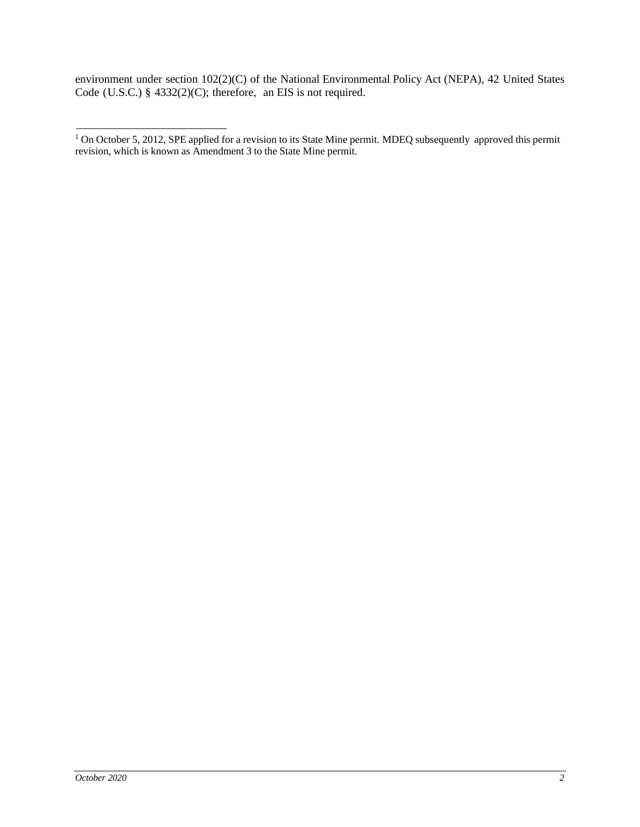environment under section 102(2)(C) of the National Environmental Policy Act (NEPA), 42 United States Code (U.S.C.)  $§$  4332(2)(C); therefore, an EIS is not required.

<sup>&</sup>lt;sup>1</sup> On October 5, 2012, SPE applied for a revision to its State Mine permit. MDEQ subsequently approved this permit revision, which is known as Amendment 3 to the State Mine permit.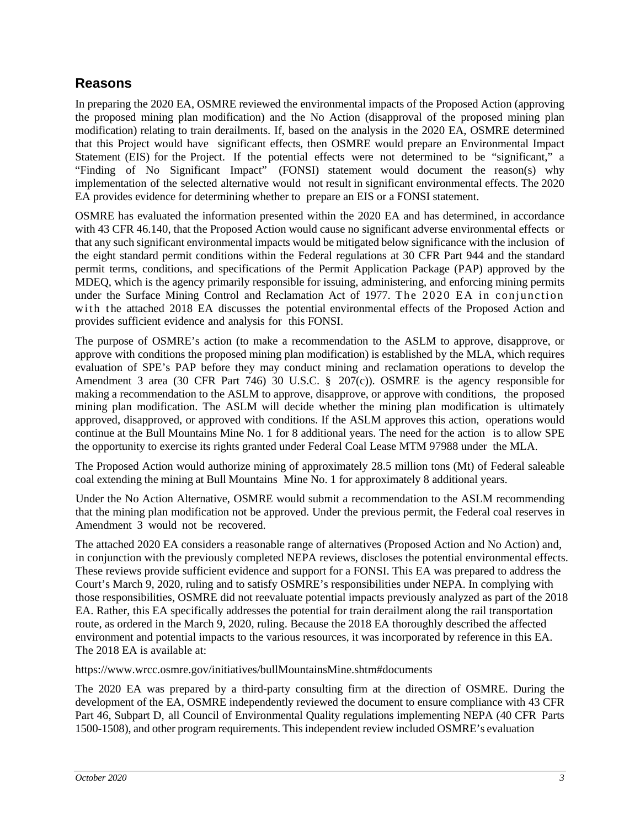### **Reasons**

In preparing the 2020 EA, OSMRE reviewed the environmental impacts of the Proposed Action (approving the proposed mining plan modification) and the No Action (disapproval of the proposed mining plan modification) relating to train derailments. If, based on the analysis in the 2020 EA, OSMRE determined that this Project would have significant effects, then OSMRE would prepare an Environmental Impact Statement (EIS) for the Project. If the potential effects were not determined to be "significant," a "Finding of No Significant Impact" (FONSI) statement would document the reason(s) why implementation of the selected alternative would not result in significant environmental effects. The 2020 EA provides evidence for determining whether to prepare an EIS or a FONSI statement.

OSMRE has evaluated the information presented within the 2020 EA and has determined, in accordance with 43 CFR 46.140, that the Proposed Action would cause no significant adverse environmental effects or that any such significant environmental impacts would be mitigated below significance with the inclusion of the eight standard permit conditions within the Federal regulations at 30 CFR Part 944 and the standard permit terms, conditions, and specifications of the Permit Application Package (PAP) approved by the MDEQ, which is the agency primarily responsible for issuing, administering, and enforcing mining permits under the Surface Mining Control and Reclamation Act of 1977. The 2020 EA in conjunction with the attached 2018 EA discusses the potential environmental effects of the Proposed Action and provides sufficient evidence and analysis for this FONSI.

The purpose of OSMRE's action (to make a recommendation to the ASLM to approve, disapprove, or approve with conditions the proposed mining plan modification) is established by the MLA, which requires evaluation of SPE's PAP before they may conduct mining and reclamation operations to develop the Amendment 3 area (30 CFR Part 746) 30 U.S.C. § 207(c)). OSMRE is the agency responsible for making a recommendation to the ASLM to approve, disapprove, or approve with conditions, the proposed mining plan modification. The ASLM will decide whether the mining plan modification is ultimately approved, disapproved, or approved with conditions. If the ASLM approves this action, operations would continue at the Bull Mountains Mine No. 1 for 8 additional years. The need for the action is to allow SPE the opportunity to exercise its rights granted under Federal Coal Lease MTM 97988 under the MLA.

The Proposed Action would authorize mining of approximately 28.5 million tons (Mt) of Federal saleable coal extending the mining at Bull Mountains Mine No. 1 for approximately 8 additional years.

Under the No Action Alternative, OSMRE would submit a recommendation to the ASLM recommending that the mining plan modification not be approved. Under the previous permit, the Federal coal reserves in Amendment 3 would not be recovered.

The attached 2020 EA considers a reasonable range of alternatives (Proposed Action and No Action) and, in conjunction with the previously completed NEPA reviews, discloses the potential environmental effects. These reviews provide sufficient evidence and support for a FONSI. This EA was prepared to address the Court's March 9, 2020, ruling and to satisfy OSMRE's responsibilities under NEPA. In complying with those responsibilities, OSMRE did not reevaluate potential impacts previously analyzed as part of the 2018 EA. Rather, this EA specifically addresses the potential for train derailment along the rail transportation route, as ordered in the March 9, 2020, ruling. Because the 2018 EA thoroughly described the affected environment and potential impacts to the various resources, it was incorporated by reference in this EA. The 2018 EA is available at:

https://www.wrcc.osmre.gov/initiatives/bullMountainsMine.shtm#documents

The 2020 EA was prepared by a third-party consulting firm at the direction of OSMRE. During the development of the EA, OSMRE independently reviewed the document to ensure compliance with 43 CFR Part 46, Subpart D, all Council of Environmental Quality regulations implementing NEPA (40 CFR Parts 1500-1508), and other program requirements. Thisindependent review included OSMRE's evaluation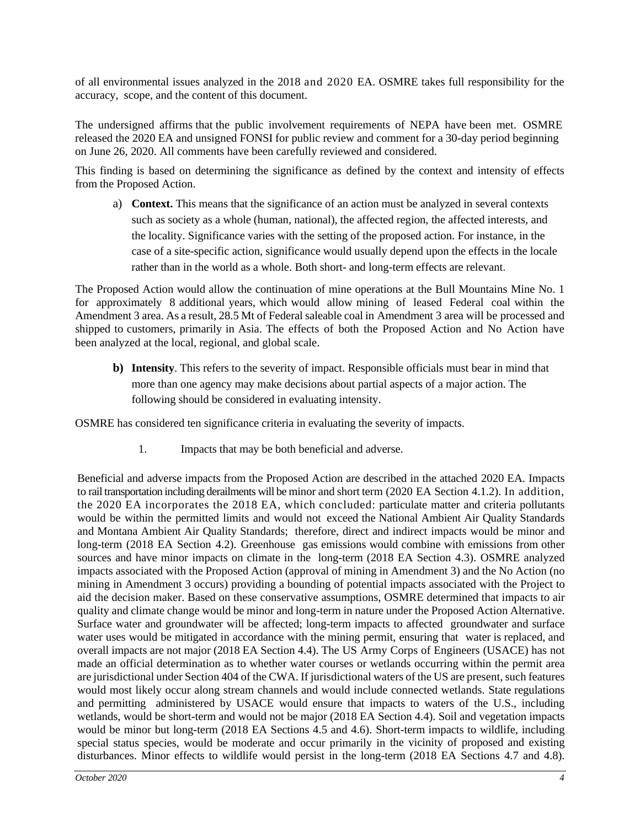of all environmental issues analyzed in the 2018 and 2020 EA. OSMRE takes full responsibility for the accuracy, scope, and the content of this document.

The undersigned affirms that the public involvement requirements of NEPA have been met. OSMRE released the 2020 EA and unsigned FONSI for public review and comment for a 30-day period beginning on June 26, 2020. All comments have been carefully reviewed and considered.

This finding is based on determining the significance as defined by the context and intensity of effects from the Proposed Action.

a) **Context.** This means that the significance of an action must be analyzed in several contexts such as society as a whole (human, national), the affected region, the affected interests, and the locality. Significance varies with the setting of the proposed action. For instance, in the case of a site-specific action, significance would usually depend upon the effects in the locale rather than in the world as a whole. Both short- and long-term effects are relevant.

The Proposed Action would allow the continuation of mine operations at the Bull Mountains Mine No. 1 for approximately 8 additional years, which would allow mining of leased Federal coal within the Amendment 3 area. As a result, 28.5 Mt of Federal saleable coal in Amendment 3 area will be processed and shipped to customers, primarily in Asia. The effects of both the Proposed Action and No Action have been analyzed at the local, regional, and global scale.

**b) Intensity**. This refers to the severity of impact. Responsible officials must bear in mind that more than one agency may make decisions about partial aspects of a major action. The following should be considered in evaluating intensity.

OSMRE has considered ten significance criteria in evaluating the severity of impacts.

1. Impacts that may be both beneficial and adverse.

Beneficial and adverse impacts from the Proposed Action are described in the attached 2020 EA. Impacts to rail transportation including derailments will be minor and short term (2020 EA Section 4.1.2). In addition, the 2020 EA incorporates the 2018 EA, which concluded: particulate matter and criteria pollutants would be within the permitted limits and would not exceed the National Ambient Air Quality Standards and Montana Ambient Air Quality Standards; therefore, direct and indirect impacts would be minor and long-term (2018 EA Section 4.2). Greenhouse gas emissions would combine with emissions from other sources and have minor impacts on climate in the long-term (2018 EA Section 4.3). OSMRE analyzed impacts associated with the Proposed Action (approval of mining in Amendment 3) and the No Action (no mining in Amendment 3 occurs) providing a bounding of potential impacts associated with the Project to aid the decision maker. Based on these conservative assumptions, OSMRE determined that impacts to air quality and climate change would be minor and long-term in nature under the Proposed Action Alternative. Surface water and groundwater will be affected; long-term impacts to affected groundwater and surface water uses would be mitigated in accordance with the mining permit, ensuring that water is replaced, and overall impacts are not major (2018 EA Section 4.4). The US Army Corps of Engineers (USACE) has not made an official determination as to whether water courses or wetlands occurring within the permit area are jurisdictional under Section 404 of the CWA. If jurisdictional waters of the US are present, such features would most likely occur along stream channels and would include connected wetlands. State regulations and permitting administered by USACE would ensure that impacts to waters of the U.S., including wetlands, would be short-term and would not be major (2018 EA Section 4.4). Soil and vegetation impacts would be minor but long-term (2018 EA Sections 4.5 and 4.6). Short-term impacts to wildlife, including special status species, would be moderate and occur primarily in the vicinity of proposed and existing disturbances. Minor effects to wildlife would persist in the long-term (2018 EA Sections 4.7 and 4.8).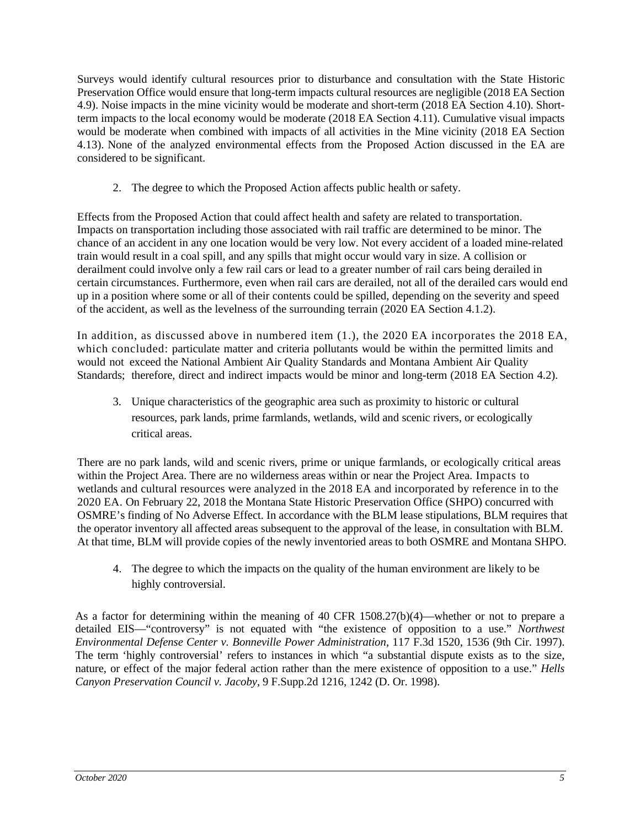Surveys would identify cultural resources prior to disturbance and consultation with the State Historic Preservation Office would ensure that long-term impacts cultural resources are negligible (2018 EA Section 4.9). Noise impacts in the mine vicinity would be moderate and short-term (2018 EA Section 4.10). Shortterm impacts to the local economy would be moderate (2018 EA Section 4.11). Cumulative visual impacts would be moderate when combined with impacts of all activities in the Mine vicinity (2018 EA Section 4.13). None of the analyzed environmental effects from the Proposed Action discussed in the EA are considered to be significant.

2. The degree to which the Proposed Action affects public health or safety.

Effects from the Proposed Action that could affect health and safety are related to transportation. Impacts on transportation including those associated with rail traffic are determined to be minor. The chance of an accident in any one location would be very low. Not every accident of a loaded mine-related train would result in a coal spill, and any spills that might occur would vary in size. A collision or derailment could involve only a few rail cars or lead to a greater number of rail cars being derailed in certain circumstances. Furthermore, even when rail cars are derailed, not all of the derailed cars would end up in a position where some or all of their contents could be spilled, depending on the severity and speed of the accident, as well as the levelness of the surrounding terrain (2020 EA Section 4.1.2).

In addition, as discussed above in numbered item (1.), the 2020 EA incorporates the 2018 EA, which concluded: particulate matter and criteria pollutants would be within the permitted limits and would not exceed the National Ambient Air Quality Standards and Montana Ambient Air Quality Standards; therefore, direct and indirect impacts would be minor and long-term (2018 EA Section 4.2).

3. Unique characteristics of the geographic area such as proximity to historic or cultural resources, park lands, prime farmlands, wetlands, wild and scenic rivers, or ecologically critical areas.

There are no park lands, wild and scenic rivers, prime or unique farmlands, or ecologically critical areas within the Project Area. There are no wilderness areas within or near the Project Area. Impacts to wetlands and cultural resources were analyzed in the 2018 EA and incorporated by reference in to the 2020 EA. On February 22, 2018 the Montana State Historic Preservation Office (SHPO) concurred with OSMRE's finding of No Adverse Effect. In accordance with the BLM lease stipulations, BLM requires that the operator inventory all affected areas subsequent to the approval of the lease, in consultation with BLM. At that time, BLM will provide copies of the newly inventoried areas to both OSMRE and Montana SHPO.

4. The degree to which the impacts on the quality of the human environment are likely to be highly controversial.

As a factor for determining within the meaning of 40 CFR 1508.27(b)(4)—whether or not to prepare a detailed EIS—"controversy" is not equated with "the existence of opposition to a use." *Northwest Environmental Defense Center v. Bonneville Power Administration*, 117 F.3d 1520, 1536 (9th Cir. 1997). The term 'highly controversial' refers to instances in which "a substantial dispute exists as to the size, nature, or effect of the major federal action rather than the mere existence of opposition to a use." *Hells Canyon Preservation Council v. Jacoby*, 9 F.Supp.2d 1216, 1242 (D. Or. 1998).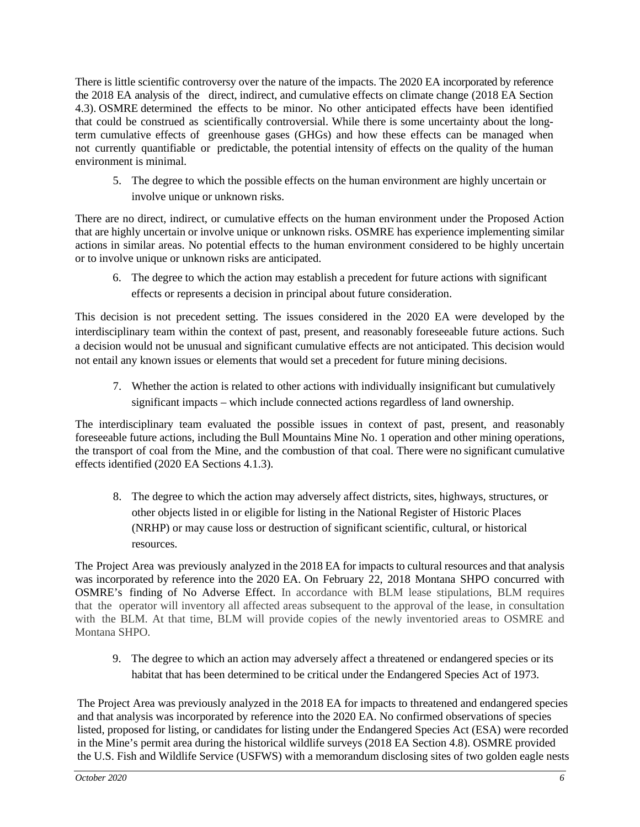There is little scientific controversy over the nature of the impacts. The 2020 EA incorporated by reference the 2018 EA analysis of the direct, indirect, and cumulative effects on climate change (2018 EA Section 4.3). OSMRE determined the effects to be minor. No other anticipated effects have been identified that could be construed as scientifically controversial. While there is some uncertainty about the longterm cumulative effects of greenhouse gases (GHGs) and how these effects can be managed when not currently quantifiable or predictable, the potential intensity of effects on the quality of the human environment is minimal.

5. The degree to which the possible effects on the human environment are highly uncertain or involve unique or unknown risks.

There are no direct, indirect, or cumulative effects on the human environment under the Proposed Action that are highly uncertain or involve unique or unknown risks. OSMRE has experience implementing similar actions in similar areas. No potential effects to the human environment considered to be highly uncertain or to involve unique or unknown risks are anticipated.

6. The degree to which the action may establish a precedent for future actions with significant effects or represents a decision in principal about future consideration.

This decision is not precedent setting. The issues considered in the 2020 EA were developed by the interdisciplinary team within the context of past, present, and reasonably foreseeable future actions. Such a decision would not be unusual and significant cumulative effects are not anticipated. This decision would not entail any known issues or elements that would set a precedent for future mining decisions.

7. Whether the action is related to other actions with individually insignificant but cumulatively significant impacts – which include connected actions regardless of land ownership.

The interdisciplinary team evaluated the possible issues in context of past, present, and reasonably foreseeable future actions, including the Bull Mountains Mine No. 1 operation and other mining operations, the transport of coal from the Mine, and the combustion of that coal. There were no significant cumulative effects identified (2020 EA Sections 4.1.3).

8. The degree to which the action may adversely affect districts, sites, highways, structures, or other objects listed in or eligible for listing in the National Register of Historic Places (NRHP) or may cause loss or destruction of significant scientific, cultural, or historical resources.

The Project Area was previously analyzed in the 2018 EA for impacts to cultural resources and that analysis was incorporated by reference into the 2020 EA. On February 22, 2018 Montana SHPO concurred with OSMRE's finding of No Adverse Effect. In accordance with BLM lease stipulations, BLM requires that the operator will inventory all affected areas subsequent to the approval of the lease, in consultation with the BLM. At that time, BLM will provide copies of the newly inventoried areas to OSMRE and Montana SHPO.

9. The degree to which an action may adversely affect a threatened or endangered species or its habitat that has been determined to be critical under the Endangered Species Act of 1973.

The Project Area was previously analyzed in the 2018 EA for impacts to threatened and endangered species and that analysis was incorporated by reference into the 2020 EA. No confirmed observations of species listed, proposed for listing, or candidates for listing under the Endangered Species Act (ESA) were recorded in the Mine's permit area during the historical wildlife surveys (2018 EA Section 4.8). OSMRE provided the U.S. Fish and Wildlife Service (USFWS) with a memorandum disclosing sites of two golden eagle nests